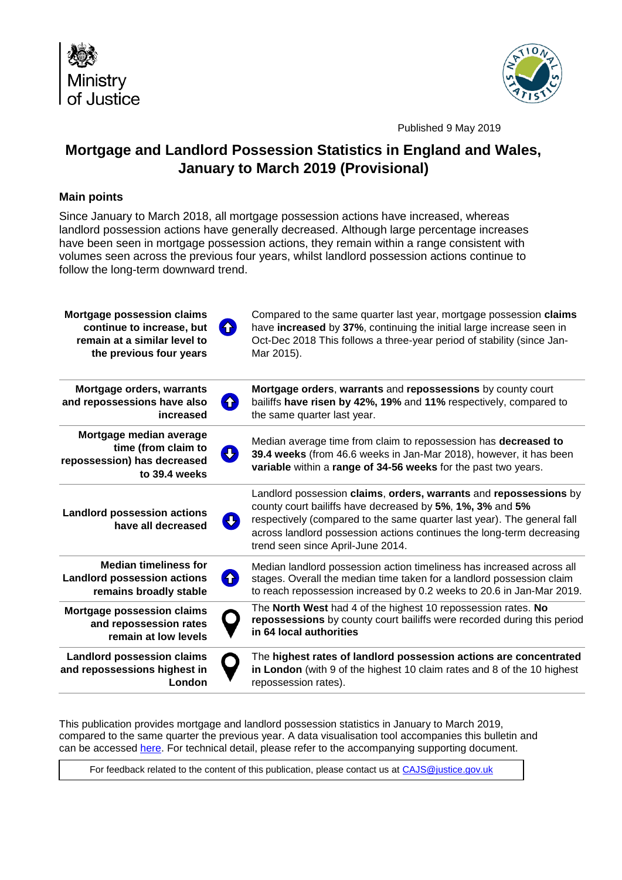



Published 9 May 2019

# **Mortgage and Landlord Possession Statistics in England and Wales, January to March 2019 (Provisional)**

## **Main points**

Since January to March 2018, all mortgage possession actions have increased, whereas landlord possession actions have generally decreased. Although large percentage increases have been seen in mortgage possession actions, they remain within a range consistent with volumes seen across the previous four years, whilst landlord possession actions continue to follow the long-term downward trend.

| <b>Mortgage possession claims</b><br>continue to increase, but<br>remain at a similar level to<br>the previous four years | 6  | Compared to the same quarter last year, mortgage possession claims<br>have increased by 37%, continuing the initial large increase seen in<br>Oct-Dec 2018 This follows a three-year period of stability (since Jan-<br>Mar 2015).                                                                                      |
|---------------------------------------------------------------------------------------------------------------------------|----|-------------------------------------------------------------------------------------------------------------------------------------------------------------------------------------------------------------------------------------------------------------------------------------------------------------------------|
| Mortgage orders, warrants<br>and repossessions have also<br>increased                                                     | 6  | Mortgage orders, warrants and repossessions by county court<br>bailiffs have risen by 42%, 19% and 11% respectively, compared to<br>the same quarter last year.                                                                                                                                                         |
| Mortgage median average<br>time (from claim to<br>repossession) has decreased<br>to 39.4 weeks                            | IJ | Median average time from claim to repossession has decreased to<br>39.4 weeks (from 46.6 weeks in Jan-Mar 2018), however, it has been<br>variable within a range of 34-56 weeks for the past two years.                                                                                                                 |
| <b>Landlord possession actions</b><br>have all decreased                                                                  | Ø  | Landlord possession claims, orders, warrants and repossessions by<br>county court bailiffs have decreased by 5%, 1%, 3% and 5%<br>respectively (compared to the same quarter last year). The general fall<br>across landlord possession actions continues the long-term decreasing<br>trend seen since April-June 2014. |
| <b>Median timeliness for</b><br><b>Landlord possession actions</b><br>remains broadly stable                              | 0  | Median landlord possession action timeliness has increased across all<br>stages. Overall the median time taken for a landlord possession claim<br>to reach repossession increased by 0.2 weeks to 20.6 in Jan-Mar 2019.                                                                                                 |
| <b>Mortgage possession claims</b><br>and repossession rates<br>remain at low levels                                       |    | The North West had 4 of the highest 10 repossession rates. No<br>repossessions by county court bailiffs were recorded during this period<br>in 64 local authorities                                                                                                                                                     |
| <b>Landlord possession claims</b><br>and repossessions highest in<br>London                                               |    | The highest rates of landlord possession actions are concentrated<br>in London (with 9 of the highest 10 claim rates and 8 of the 10 highest<br>repossession rates).                                                                                                                                                    |

This publication provides mortgage and landlord possession statistics in January to March 2019, compared to the same quarter the previous year. A data visualisation tool accompanies this bulletin and can be accessed [here.](#page-11-0) For technical detail, please refer to the accompanying supporting document.

For feedback related to the content of this publication, please contact us at [CAJS@justice.gov.uk](mailto:CAJS@justice.gov.uk)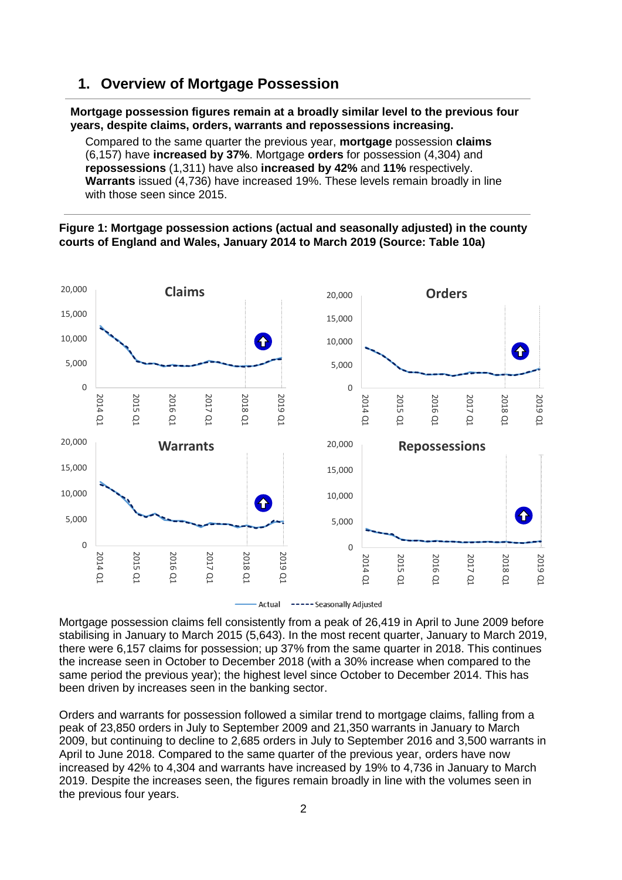## **1. Overview of Mortgage Possession**

#### **Mortgage possession figures remain at a broadly similar level to the previous four years, despite claims, orders, warrants and repossessions increasing.**

Compared to the same quarter the previous year, **mortgage** possession **claims** (6,157) have **increased by 37%**. Mortgage **orders** for possession (4,304) and **repossessions** (1,311) have also **increased by 42%** and **11%** respectively. **Warrants** issued (4,736) have increased 19%. These levels remain broadly in line with those seen since 2015.

### **Figure 1: Mortgage possession actions (actual and seasonally adjusted) in the county courts of England and Wales, January 2014 to March 2019 (Source: Table 10a)**



Mortgage possession claims fell consistently from a peak of 26,419 in April to June 2009 before stabilising in January to March 2015 (5,643). In the most recent quarter, January to March 2019, there were 6,157 claims for possession; up 37% from the same quarter in 2018. This continues the increase seen in October to December 2018 (with a 30% increase when compared to the same period the previous year); the highest level since October to December 2014. This has

been driven by increases seen in the banking sector.

Orders and warrants for possession followed a similar trend to mortgage claims, falling from a peak of 23,850 orders in July to September 2009 and 21,350 warrants in January to March 2009, but continuing to decline to 2,685 orders in July to September 2016 and 3,500 warrants in April to June 2018. Compared to the same quarter of the previous year, orders have now increased by 42% to 4,304 and warrants have increased by 19% to 4,736 in January to March 2019. Despite the increases seen, the figures remain broadly in line with the volumes seen in the previous four years.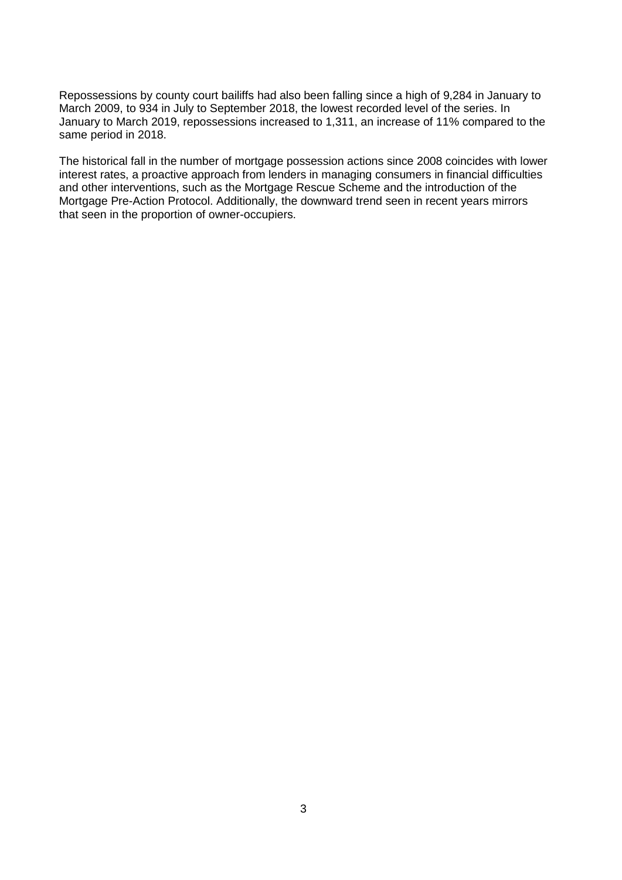Repossessions by county court bailiffs had also been falling since a high of 9,284 in January to March 2009, to 934 in July to September 2018, the lowest recorded level of the series. In January to March 2019, repossessions increased to 1,311, an increase of 11% compared to the same period in 2018.

The historical fall in the number of mortgage possession actions since 2008 coincides with lower interest rates, a proactive approach from lenders in managing consumers in financial difficulties and other interventions, such as the Mortgage Rescue Scheme and the introduction of the Mortgage Pre-Action Protocol. Additionally, the downward trend seen in recent years mirrors that seen in the proportion of owner-occupiers.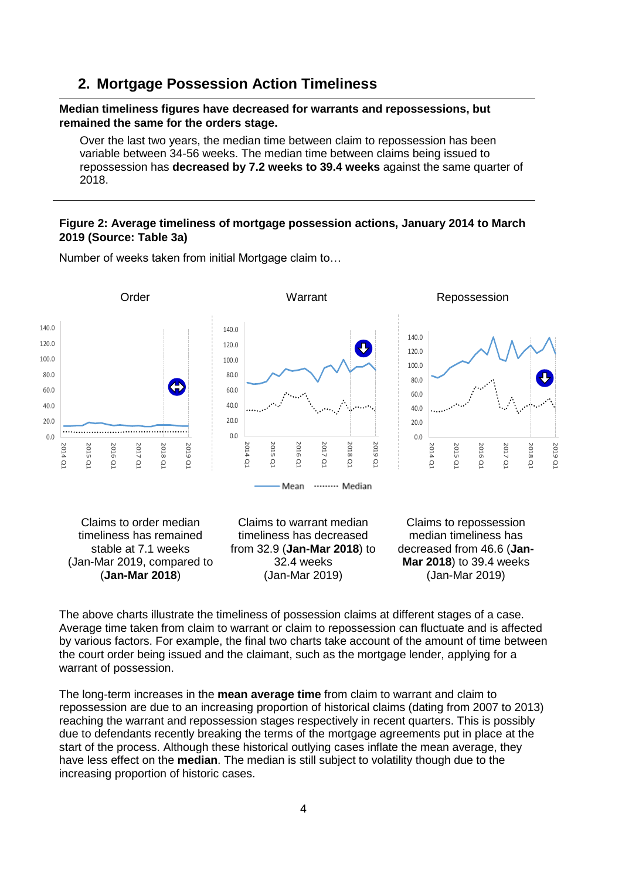## **2. Mortgage Possession Action Timeliness**

#### **Median timeliness figures have decreased for warrants and repossessions, but remained the same for the orders stage.**

Over the last two years, the median time between claim to repossession has been variable between 34-56 weeks. The median time between claims being issued to repossession has **decreased by 7.2 weeks to 39.4 weeks** against the same quarter of 2018.

### **Figure 2: Average timeliness of mortgage possession actions, January 2014 to March 2019 (Source: Table 3a)**



Number of weeks taken from initial Mortgage claim to…

The above charts illustrate the timeliness of possession claims at different stages of a case. Average time taken from claim to warrant or claim to repossession can fluctuate and is affected by various factors. For example, the final two charts take account of the amount of time between the court order being issued and the claimant, such as the mortgage lender, applying for a warrant of possession.

The long-term increases in the **mean average time** from claim to warrant and claim to repossession are due to an increasing proportion of historical claims (dating from 2007 to 2013) reaching the warrant and repossession stages respectively in recent quarters. This is possibly due to defendants recently breaking the terms of the mortgage agreements put in place at the start of the process. Although these historical outlying cases inflate the mean average, they have less effect on the **median**. The median is still subject to volatility though due to the increasing proportion of historic cases.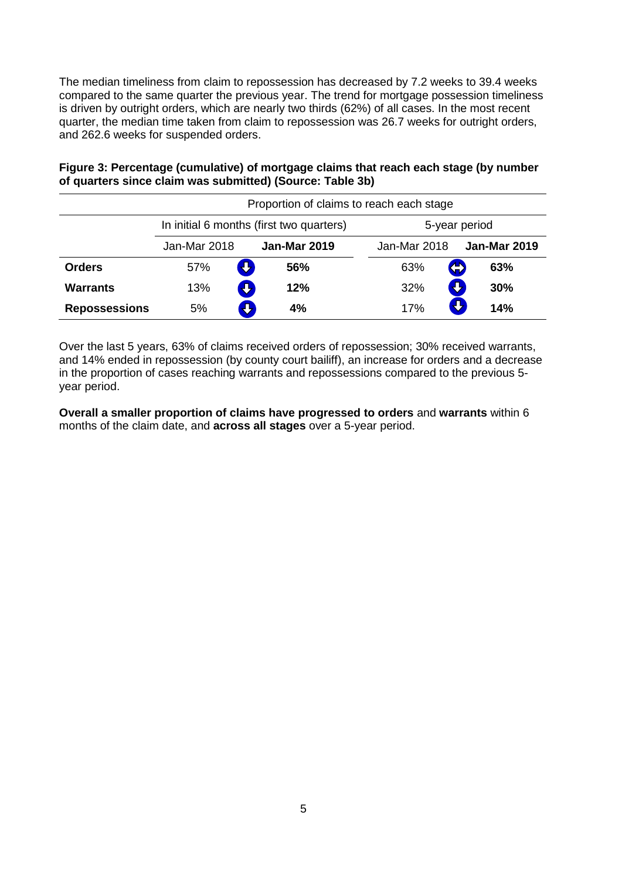The median timeliness from claim to repossession has decreased by 7.2 weeks to 39.4 weeks compared to the same quarter the previous year. The trend for mortgage possession timeliness is driven by outright orders, which are nearly two thirds (62%) of all cases. In the most recent quarter, the median time taken from claim to repossession was 26.7 weeks for outright orders, and 262.6 weeks for suspended orders.

**Figure 3: Percentage (cumulative) of mortgage claims that reach each stage (by number of quarters since claim was submitted) (Source: Table 3b)**

|                      | Proportion of claims to reach each stage |                                          |              |                     |
|----------------------|------------------------------------------|------------------------------------------|--------------|---------------------|
|                      |                                          | In initial 6 months (first two quarters) |              | 5-year period       |
|                      | Jan-Mar 2018                             | <b>Jan-Mar 2019</b>                      | Jan-Mar 2018 | <b>Jan-Mar 2019</b> |
| <b>Orders</b>        | $\bf \Phi$<br>57%                        | 56%                                      | 63%          | 63%<br>4            |
| <b>Warrants</b>      | 5<br>13%                                 | 12%                                      | 32%          | Đ<br>30%            |
| <b>Repossessions</b> | 5%                                       | 4%                                       | 17%          | 14%                 |

Over the last 5 years, 63% of claims received orders of repossession; 30% received warrants, and 14% ended in repossession (by county court bailiff), an increase for orders and a decrease in the proportion of cases reaching warrants and repossessions compared to the previous 5 year period.

**Overall a smaller proportion of claims have progressed to orders** and **warrants** within 6 months of the claim date, and **across all stages** over a 5-year period.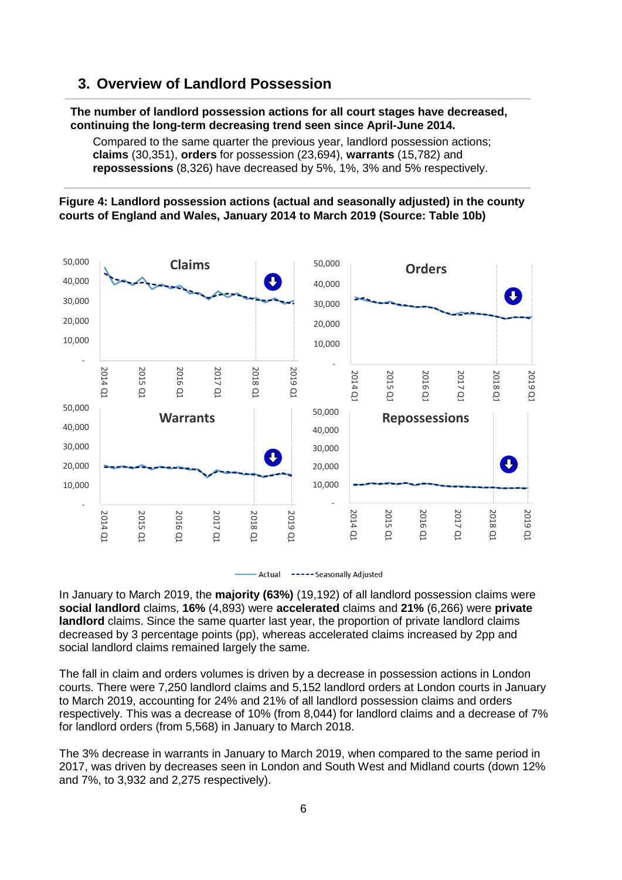# **3. Overview of Landlord Possession**

#### **The number of landlord possession actions for all court stages have decreased, continuing the long-term decreasing trend seen since April-June 2014.**

Compared to the same quarter the previous year, landlord possession actions; **claims** (30,351), **orders** for possession (23,694), **warrants** (15,782) and **repossessions** (8,326) have decreased by 5%, 1%, 3% and 5% respectively.

### **Figure 4: Landlord possession actions (actual and seasonally adjusted) in the county courts of England and Wales, January 2014 to March 2019 (Source: Table 10b)**





In January to March 2019, the **majority (63%)** (19,192) of all landlord possession claims were **social landlord** claims, **16%** (4,893) were **accelerated** claims and **21%** (6,266) were **private landlord** claims. Since the same quarter last year, the proportion of private landlord claims decreased by 3 percentage points (pp), whereas accelerated claims increased by 2pp and social landlord claims remained largely the same.

The fall in claim and orders volumes is driven by a decrease in possession actions in London courts. There were 7,250 landlord claims and 5,152 landlord orders at London courts in January to March 2019, accounting for 24% and 21% of all landlord possession claims and orders respectively. This was a decrease of 10% (from 8,044) for landlord claims and a decrease of 7% for landlord orders (from 5,568) in January to March 2018.

The 3% decrease in warrants in January to March 2019, when compared to the same period in 2017, was driven by decreases seen in London and South West and Midland courts (down 12% and 7%, to 3,932 and 2,275 respectively).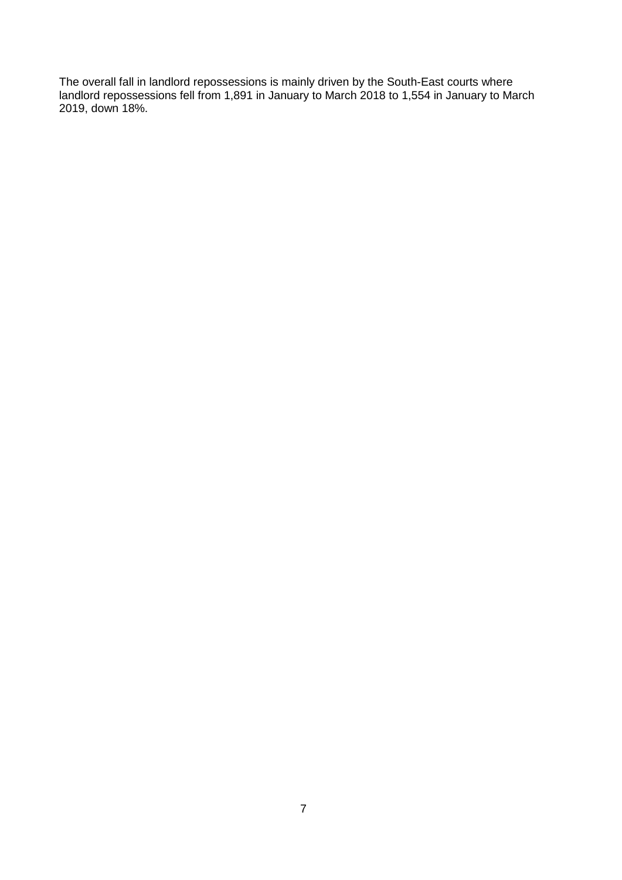The overall fall in landlord repossessions is mainly driven by the South-East courts where landlord repossessions fell from 1,891 in January to March 2018 to 1,554 in January to March 2019, down 18%.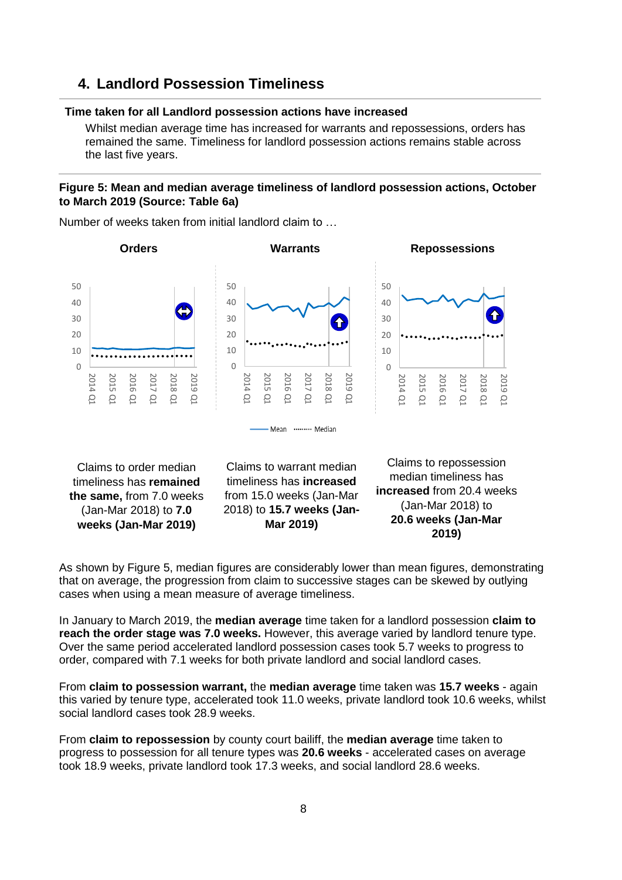# **4. Landlord Possession Timeliness**

#### **Time taken for all Landlord possession actions have increased**

Whilst median average time has increased for warrants and repossessions, orders has remained the same. Timeliness for landlord possession actions remains stable across the last five years.

## **Figure 5: Mean and median average timeliness of landlord possession actions, October to March 2019 (Source: Table 6a)**



Number of weeks taken from initial landlord claim to …

As shown by Figure 5, median figures are considerably lower than mean figures, demonstrating that on average, the progression from claim to successive stages can be skewed by outlying cases when using a mean measure of average timeliness.

In January to March 2019, the **median average** time taken for a landlord possession **claim to reach the order stage was 7.0 weeks.** However, this average varied by landlord tenure type. Over the same period accelerated landlord possession cases took 5.7 weeks to progress to order, compared with 7.1 weeks for both private landlord and social landlord cases.

From **claim to possession warrant,** the **median average** time taken was **15.7 weeks** - again this varied by tenure type, accelerated took 11.0 weeks, private landlord took 10.6 weeks, whilst social landlord cases took 28.9 weeks.

From **claim to repossession** by county court bailiff, the **median average** time taken to progress to possession for all tenure types was **20.6 weeks** - accelerated cases on average took 18.9 weeks, private landlord took 17.3 weeks, and social landlord 28.6 weeks.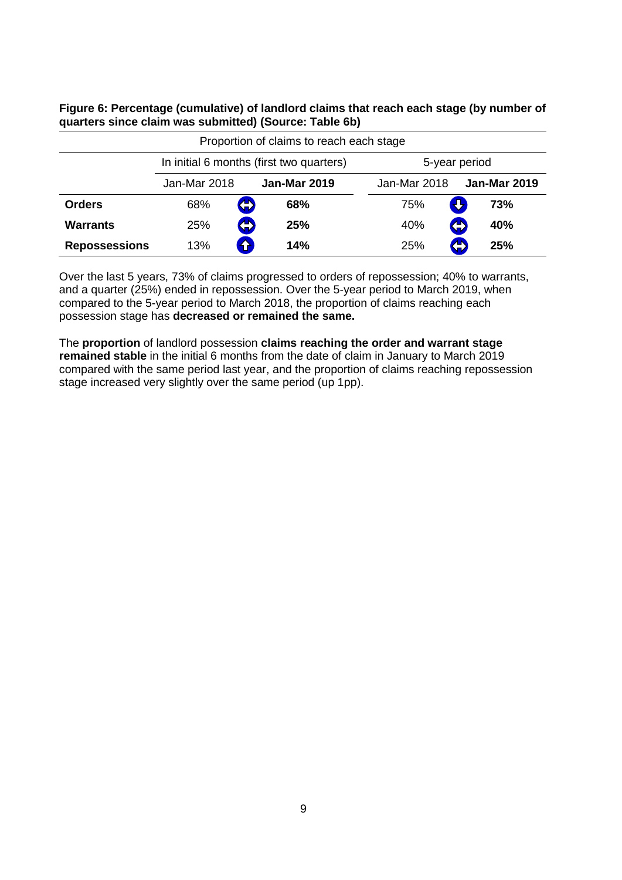**Figure 6: Percentage (cumulative) of landlord claims that reach each stage (by number of quarters since claim was submitted) (Source: Table 6b)**

| Proportion of claims to reach each stage |                                          |   |                     |               |                     |  |
|------------------------------------------|------------------------------------------|---|---------------------|---------------|---------------------|--|
|                                          | In initial 6 months (first two quarters) |   |                     | 5-year period |                     |  |
|                                          | Jan-Mar 2018                             |   | <b>Jan-Mar 2019</b> | Jan-Mar 2018  | <b>Jan-Mar 2019</b> |  |
| <b>Orders</b>                            | 68%                                      | 4 | 68%                 | 75%           | 73%                 |  |
| <b>Warrants</b>                          | 25%                                      | 4 | 25%                 | 40%           | 4<br>40%            |  |
| <b>Repossessions</b>                     | 13%                                      | 8 | 14%                 | 25%           | 4<br>25%            |  |

Over the last 5 years, 73% of claims progressed to orders of repossession; 40% to warrants, and a quarter (25%) ended in repossession. Over the 5-year period to March 2019, when compared to the 5-year period to March 2018, the proportion of claims reaching each possession stage has **decreased or remained the same.**

The **proportion** of landlord possession **claims reaching the order and warrant stage remained stable** in the initial 6 months from the date of claim in January to March 2019 compared with the same period last year, and the proportion of claims reaching repossession stage increased very slightly over the same period (up 1pp).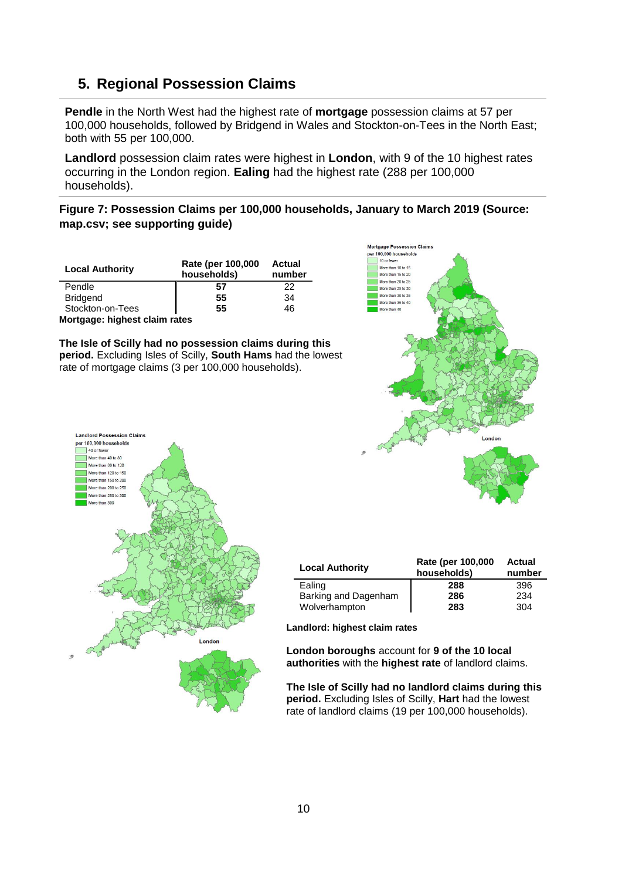# <span id="page-9-0"></span>**5. Regional Possession Claims**

**Pendle** in the North West had the highest rate of **mortgage** possession claims at 57 per 100,000 households, followed by Bridgend in Wales and Stockton-on-Tees in the North East; both with 55 per 100,000.

**Landlord** possession claim rates were highest in **London**, with 9 of the 10 highest rates occurring in the London region. **Ealing** had the highest rate (288 per 100,000 households).

**Figure 7: Possession Claims per 100,000 households, January to March 2019 (Source: map.csv; see supporting guide)**

| <b>Local Authority</b>        | Rate (per 100,000<br>households) | Actual<br>number |  |
|-------------------------------|----------------------------------|------------------|--|
| Pendle                        | 57                               | 22               |  |
| <b>Bridgend</b>               | 55                               | 34               |  |
| Stockton-on-Tees              | 55                               | 46               |  |
| Mortgage: highest claim rates |                                  |                  |  |

**The Isle of Scilly had no possession claims during this period.** Excluding Isles of Scilly, **South Hams** had the lowest rate of mortgage claims (3 per 100,000 households).





| <b>Local Authority</b> | Rate (per 100,000<br>households) | <b>Actual</b><br>number |
|------------------------|----------------------------------|-------------------------|
| Ealing                 | 288                              | 396                     |
| Barking and Dagenham   | 286                              | 234                     |
| Wolverhampton          | 283                              | 304                     |

**Landlord: highest claim rates**

**London boroughs** account for **9 of the 10 local authorities** with the **highest rate** of landlord claims.

**The Isle of Scilly had no landlord claims during this period.** Excluding Isles of Scilly, **Hart** had the lowest rate of landlord claims (19 per 100,000 households).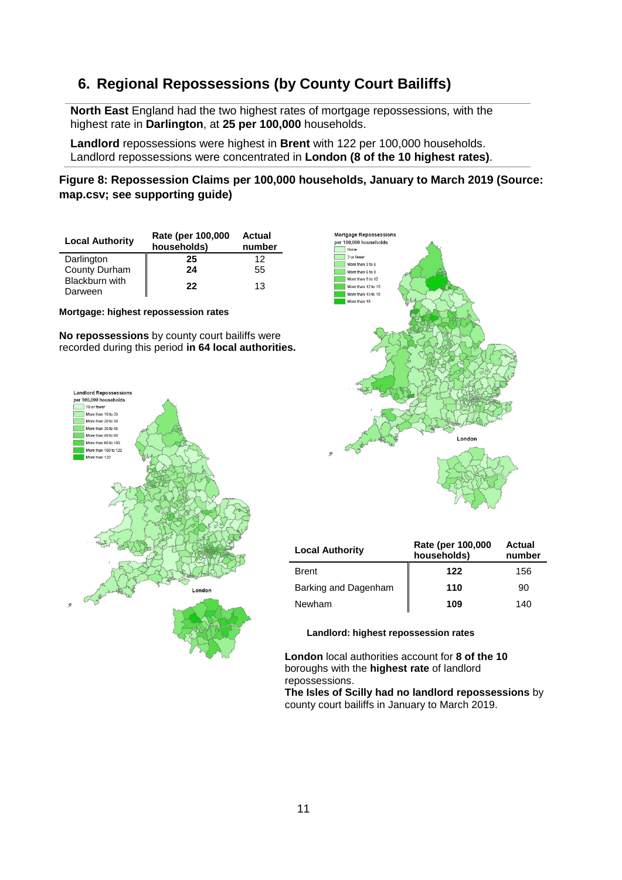# <span id="page-10-0"></span>**6. Regional Repossessions (by County Court Bailiffs)**

**North East** England had the two highest rates of mortgage repossessions, with the highest rate in **Darlington**, at **25 per 100,000** households.

**Landlord** repossessions were highest in **Brent** with 122 per 100,000 households. Landlord repossessions were concentrated in **London (8 of the 10 highest rates)**.

**Figure 8: Repossession Claims per 100,000 households, January to March 2019 (Source: map.csv; see supporting guide)**

| <b>Local Authority</b>           | Rate (per 100,000<br>households) | Actual<br>number |
|----------------------------------|----------------------------------|------------------|
| Darlington                       | 25                               | 12               |
| County Durham                    | 24                               | 55               |
| <b>Blackburn with</b><br>Darween | 22                               | 13               |

#### **Mortgage: highest repossession rates**

**No repossessions** by county court bailiffs were recorded during this period **in 64 local authorities.**





| <b>Local Authority</b> | Rate (per 100,000<br>households) | Actual<br>number |
|------------------------|----------------------------------|------------------|
| <b>Brent</b>           | 122                              | 156              |
| Barking and Dagenham   | 110                              | 90               |
| Newham                 | 109                              | 140              |

**Landlord: highest repossession rates**

**London** local authorities account for **8 of the 10** boroughs with the **highest rate** of landlord repossessions.

**The Isles of Scilly had no landlord repossessions** by county court bailiffs in January to March 2019.